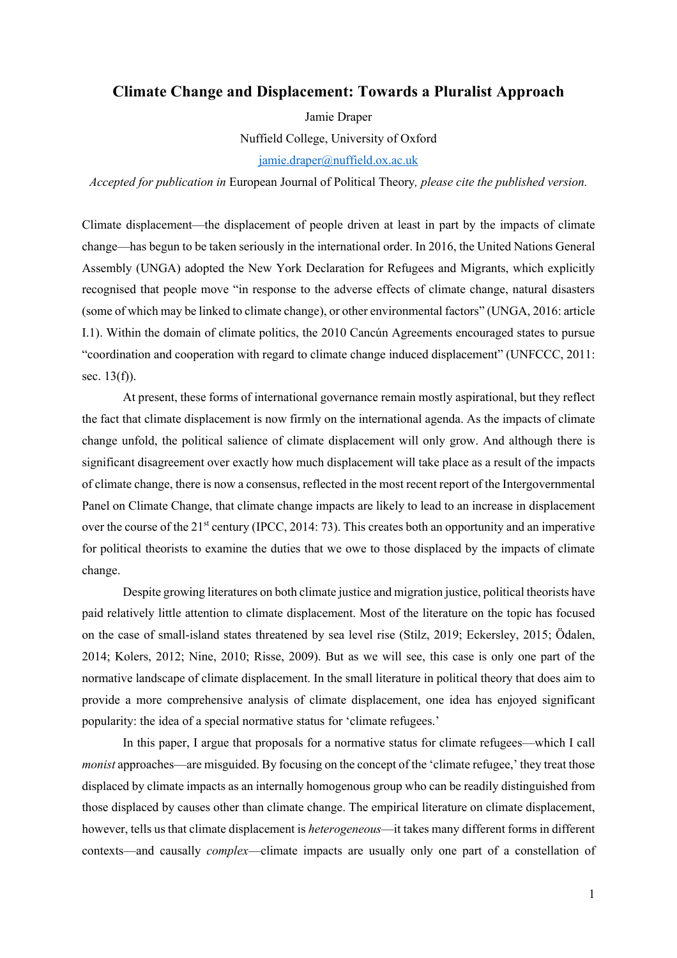# **Climate Change and Displacement: Towards a Pluralist Approach**

Jamie Draper Nuffield College, University of Oxford jamie.draper@nuffield.ox.ac.uk

*Accepted for publication in* European Journal of Political Theory*, please cite the published version.*

Climate displacement—the displacement of people driven at least in part by the impacts of climate change—has begun to be taken seriously in the international order. In 2016, the United Nations General Assembly (UNGA) adopted the New York Declaration for Refugees and Migrants, which explicitly recognised that people move "in response to the adverse effects of climate change, natural disasters (some of which may be linked to climate change), or other environmental factors" (UNGA, 2016: article I.1). Within the domain of climate politics, the 2010 Cancún Agreements encouraged states to pursue "coordination and cooperation with regard to climate change induced displacement" (UNFCCC, 2011: sec. 13(f)).

At present, these forms of international governance remain mostly aspirational, but they reflect the fact that climate displacement is now firmly on the international agenda. As the impacts of climate change unfold, the political salience of climate displacement will only grow. And although there is significant disagreement over exactly how much displacement will take place as a result of the impacts of climate change, there is now a consensus, reflected in the most recent report of the Intergovernmental Panel on Climate Change, that climate change impacts are likely to lead to an increase in displacement over the course of the  $21<sup>st</sup>$  century (IPCC, 2014: 73). This creates both an opportunity and an imperative for political theorists to examine the duties that we owe to those displaced by the impacts of climate change.

Despite growing literatures on both climate justice and migration justice, political theorists have paid relatively little attention to climate displacement. Most of the literature on the topic has focused on the case of small-island states threatened by sea level rise (Stilz, 2019; Eckersley, 2015; Ödalen, 2014; Kolers, 2012; Nine, 2010; Risse, 2009). But as we will see, this case is only one part of the normative landscape of climate displacement. In the small literature in political theory that does aim to provide a more comprehensive analysis of climate displacement, one idea has enjoyed significant popularity: the idea of a special normative status for 'climate refugees.'

In this paper, I argue that proposals for a normative status for climate refugees—which I call *monist* approaches—are misguided. By focusing on the concept of the 'climate refugee,' they treat those displaced by climate impacts as an internally homogenous group who can be readily distinguished from those displaced by causes other than climate change. The empirical literature on climate displacement, however, tells us that climate displacement is *heterogeneous*—it takes many different forms in different contexts—and causally *complex*—climate impacts are usually only one part of a constellation of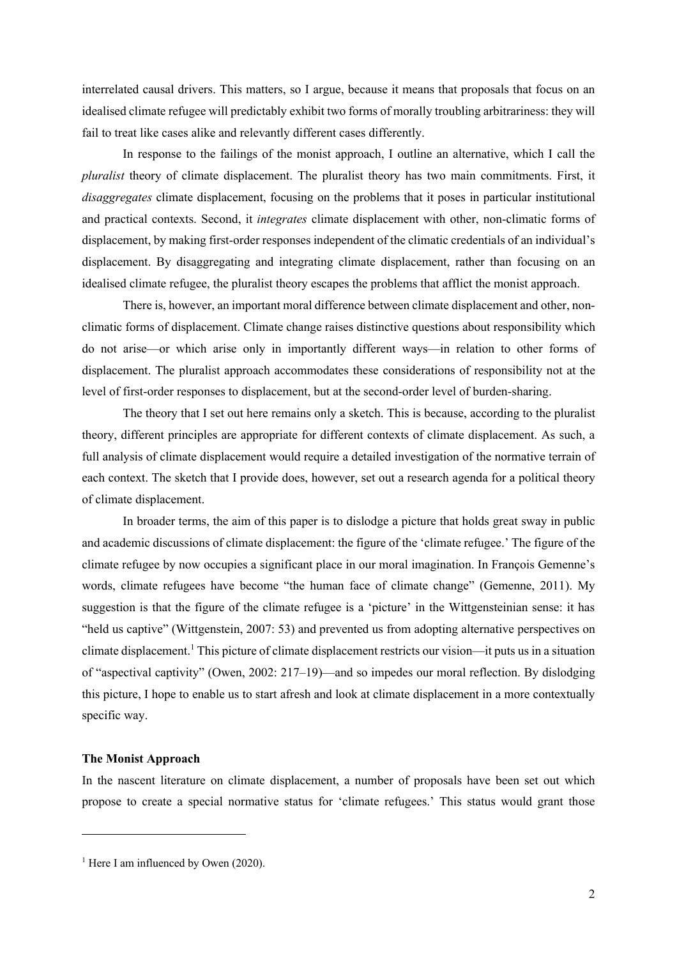interrelated causal drivers. This matters, so I argue, because it means that proposals that focus on an idealised climate refugee will predictably exhibit two forms of morally troubling arbitrariness: they will fail to treat like cases alike and relevantly different cases differently.

In response to the failings of the monist approach, I outline an alternative, which I call the *pluralist* theory of climate displacement. The pluralist theory has two main commitments. First, it *disaggregates* climate displacement, focusing on the problems that it poses in particular institutional and practical contexts. Second, it *integrates* climate displacement with other, non-climatic forms of displacement, by making first-order responses independent of the climatic credentials of an individual's displacement. By disaggregating and integrating climate displacement, rather than focusing on an idealised climate refugee, the pluralist theory escapes the problems that afflict the monist approach.

There is, however, an important moral difference between climate displacement and other, nonclimatic forms of displacement. Climate change raises distinctive questions about responsibility which do not arise—or which arise only in importantly different ways—in relation to other forms of displacement. The pluralist approach accommodates these considerations of responsibility not at the level of first-order responses to displacement, but at the second-order level of burden-sharing.

The theory that I set out here remains only a sketch. This is because, according to the pluralist theory, different principles are appropriate for different contexts of climate displacement. As such, a full analysis of climate displacement would require a detailed investigation of the normative terrain of each context. The sketch that I provide does, however, set out a research agenda for a political theory of climate displacement.

In broader terms, the aim of this paper is to dislodge a picture that holds great sway in public and academic discussions of climate displacement: the figure of the 'climate refugee.' The figure of the climate refugee by now occupies a significant place in our moral imagination. In François Gemenne's words, climate refugees have become "the human face of climate change" (Gemenne, 2011). My suggestion is that the figure of the climate refugee is a 'picture' in the Wittgensteinian sense: it has "held us captive" (Wittgenstein, 2007: 53) and prevented us from adopting alternative perspectives on climate displacement.<sup>1</sup> This picture of climate displacement restricts our vision—it puts us in a situation of "aspectival captivity" (Owen, 2002: 217–19)—and so impedes our moral reflection. By dislodging this picture, I hope to enable us to start afresh and look at climate displacement in a more contextually specific way.

### **The Monist Approach**

In the nascent literature on climate displacement, a number of proposals have been set out which propose to create a special normative status for 'climate refugees.' This status would grant those

<sup>&</sup>lt;sup>1</sup> Here I am influenced by Owen (2020).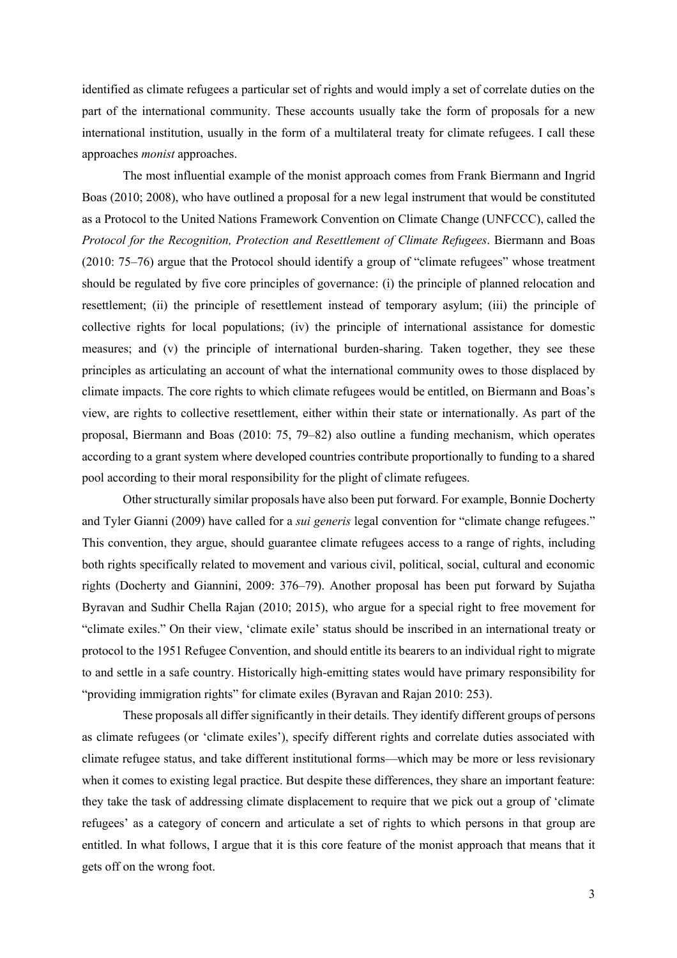identified as climate refugees a particular set of rights and would imply a set of correlate duties on the part of the international community. These accounts usually take the form of proposals for a new international institution, usually in the form of a multilateral treaty for climate refugees. I call these approaches *monist* approaches.

The most influential example of the monist approach comes from Frank Biermann and Ingrid Boas (2010; 2008), who have outlined a proposal for a new legal instrument that would be constituted as a Protocol to the United Nations Framework Convention on Climate Change (UNFCCC), called the *Protocol for the Recognition, Protection and Resettlement of Climate Refugees*. Biermann and Boas (2010: 75–76) argue that the Protocol should identify a group of "climate refugees" whose treatment should be regulated by five core principles of governance: (i) the principle of planned relocation and resettlement; (ii) the principle of resettlement instead of temporary asylum; (iii) the principle of collective rights for local populations; (iv) the principle of international assistance for domestic measures; and (v) the principle of international burden-sharing. Taken together, they see these principles as articulating an account of what the international community owes to those displaced by climate impacts. The core rights to which climate refugees would be entitled, on Biermann and Boas's view, are rights to collective resettlement, either within their state or internationally. As part of the proposal, Biermann and Boas (2010: 75, 79–82) also outline a funding mechanism, which operates according to a grant system where developed countries contribute proportionally to funding to a shared pool according to their moral responsibility for the plight of climate refugees.

Other structurally similar proposals have also been put forward. For example, Bonnie Docherty and Tyler Gianni (2009) have called for a *sui generis* legal convention for "climate change refugees." This convention, they argue, should guarantee climate refugees access to a range of rights, including both rights specifically related to movement and various civil, political, social, cultural and economic rights (Docherty and Giannini, 2009: 376–79). Another proposal has been put forward by Sujatha Byravan and Sudhir Chella Rajan (2010; 2015), who argue for a special right to free movement for "climate exiles." On their view, 'climate exile' status should be inscribed in an international treaty or protocol to the 1951 Refugee Convention, and should entitle its bearers to an individual right to migrate to and settle in a safe country. Historically high-emitting states would have primary responsibility for "providing immigration rights" for climate exiles (Byravan and Rajan 2010: 253).

These proposals all differ significantly in their details. They identify different groups of persons as climate refugees (or 'climate exiles'), specify different rights and correlate duties associated with climate refugee status, and take different institutional forms—which may be more or less revisionary when it comes to existing legal practice. But despite these differences, they share an important feature: they take the task of addressing climate displacement to require that we pick out a group of 'climate refugees' as a category of concern and articulate a set of rights to which persons in that group are entitled. In what follows, I argue that it is this core feature of the monist approach that means that it gets off on the wrong foot.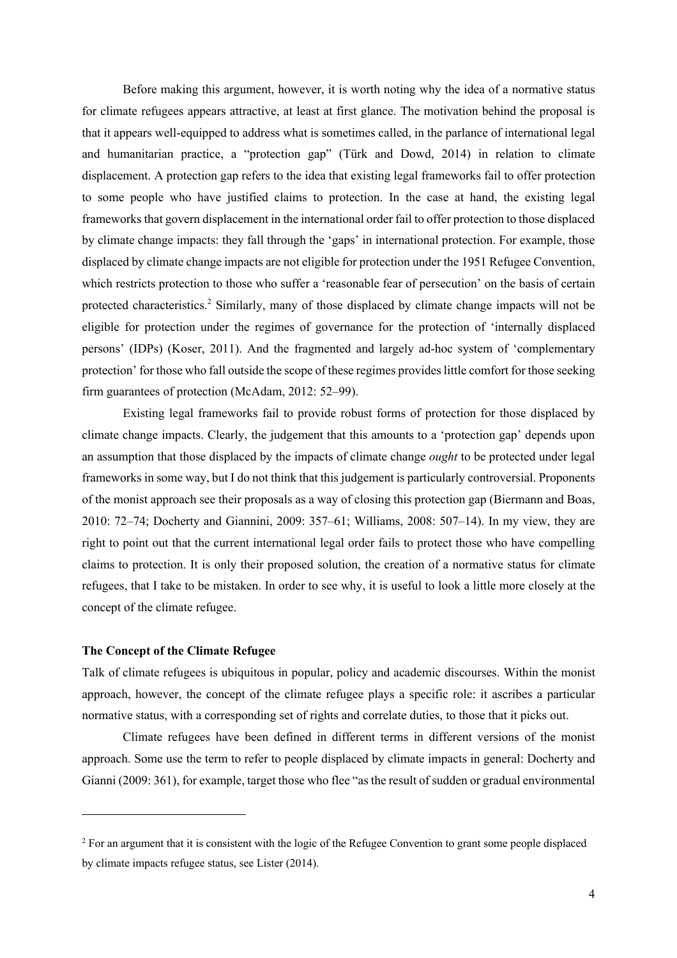Before making this argument, however, it is worth noting why the idea of a normative status for climate refugees appears attractive, at least at first glance. The motivation behind the proposal is that it appears well-equipped to address what is sometimes called, in the parlance of international legal and humanitarian practice, a "protection gap" (Türk and Dowd, 2014) in relation to climate displacement. A protection gap refers to the idea that existing legal frameworks fail to offer protection to some people who have justified claims to protection. In the case at hand, the existing legal frameworks that govern displacement in the international order fail to offer protection to those displaced by climate change impacts: they fall through the 'gaps' in international protection. For example, those displaced by climate change impacts are not eligible for protection under the 1951 Refugee Convention, which restricts protection to those who suffer a 'reasonable fear of persecution' on the basis of certain protected characteristics.<sup>2</sup> Similarly, many of those displaced by climate change impacts will not be eligible for protection under the regimes of governance for the protection of 'internally displaced persons' (IDPs) (Koser, 2011). And the fragmented and largely ad-hoc system of 'complementary protection' for those who fall outside the scope of these regimes provides little comfort for those seeking firm guarantees of protection (McAdam, 2012: 52–99).

Existing legal frameworks fail to provide robust forms of protection for those displaced by climate change impacts. Clearly, the judgement that this amounts to a 'protection gap' depends upon an assumption that those displaced by the impacts of climate change *ought* to be protected under legal frameworks in some way, but I do not think that this judgement is particularly controversial. Proponents of the monist approach see their proposals as a way of closing this protection gap (Biermann and Boas, 2010: 72–74; Docherty and Giannini, 2009: 357–61; Williams, 2008: 507–14). In my view, they are right to point out that the current international legal order fails to protect those who have compelling claims to protection. It is only their proposed solution, the creation of a normative status for climate refugees, that I take to be mistaken. In order to see why, it is useful to look a little more closely at the concept of the climate refugee.

#### **The Concept of the Climate Refugee**

Talk of climate refugees is ubiquitous in popular, policy and academic discourses. Within the monist approach, however, the concept of the climate refugee plays a specific role: it ascribes a particular normative status, with a corresponding set of rights and correlate duties, to those that it picks out.

Climate refugees have been defined in different terms in different versions of the monist approach. Some use the term to refer to people displaced by climate impacts in general: Docherty and Gianni (2009: 361), for example, target those who flee "as the result of sudden or gradual environmental

<sup>&</sup>lt;sup>2</sup> For an argument that it is consistent with the logic of the Refugee Convention to grant some people displaced by climate impacts refugee status, see Lister (2014).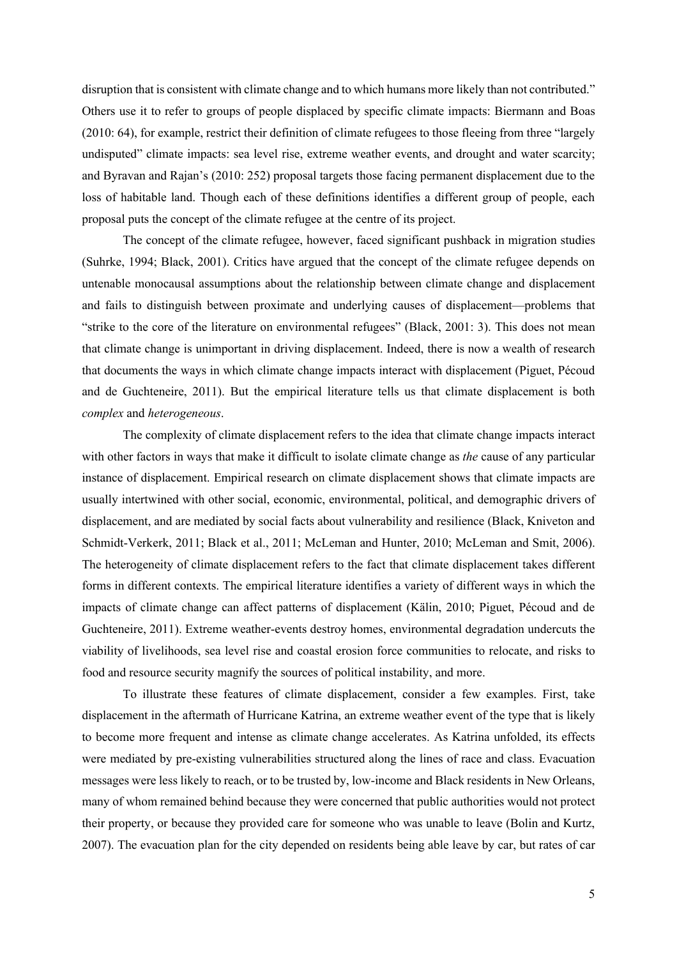disruption that is consistent with climate change and to which humans more likely than not contributed." Others use it to refer to groups of people displaced by specific climate impacts: Biermann and Boas (2010: 64), for example, restrict their definition of climate refugees to those fleeing from three "largely undisputed" climate impacts: sea level rise, extreme weather events, and drought and water scarcity; and Byravan and Rajan's (2010: 252) proposal targets those facing permanent displacement due to the loss of habitable land. Though each of these definitions identifies a different group of people, each proposal puts the concept of the climate refugee at the centre of its project.

The concept of the climate refugee, however, faced significant pushback in migration studies (Suhrke, 1994; Black, 2001). Critics have argued that the concept of the climate refugee depends on untenable monocausal assumptions about the relationship between climate change and displacement and fails to distinguish between proximate and underlying causes of displacement—problems that "strike to the core of the literature on environmental refugees" (Black, 2001: 3). This does not mean that climate change is unimportant in driving displacement. Indeed, there is now a wealth of research that documents the ways in which climate change impacts interact with displacement (Piguet, Pécoud and de Guchteneire, 2011). But the empirical literature tells us that climate displacement is both *complex* and *heterogeneous*.

The complexity of climate displacement refers to the idea that climate change impacts interact with other factors in ways that make it difficult to isolate climate change as *the* cause of any particular instance of displacement. Empirical research on climate displacement shows that climate impacts are usually intertwined with other social, economic, environmental, political, and demographic drivers of displacement, and are mediated by social facts about vulnerability and resilience (Black, Kniveton and Schmidt-Verkerk, 2011; Black et al., 2011; McLeman and Hunter, 2010; McLeman and Smit, 2006). The heterogeneity of climate displacement refers to the fact that climate displacement takes different forms in different contexts. The empirical literature identifies a variety of different ways in which the impacts of climate change can affect patterns of displacement (Kälin, 2010; Piguet, Pécoud and de Guchteneire, 2011). Extreme weather-events destroy homes, environmental degradation undercuts the viability of livelihoods, sea level rise and coastal erosion force communities to relocate, and risks to food and resource security magnify the sources of political instability, and more.

To illustrate these features of climate displacement, consider a few examples. First, take displacement in the aftermath of Hurricane Katrina, an extreme weather event of the type that is likely to become more frequent and intense as climate change accelerates. As Katrina unfolded, its effects were mediated by pre-existing vulnerabilities structured along the lines of race and class. Evacuation messages were less likely to reach, or to be trusted by, low-income and Black residents in New Orleans, many of whom remained behind because they were concerned that public authorities would not protect their property, or because they provided care for someone who was unable to leave (Bolin and Kurtz, 2007). The evacuation plan for the city depended on residents being able leave by car, but rates of car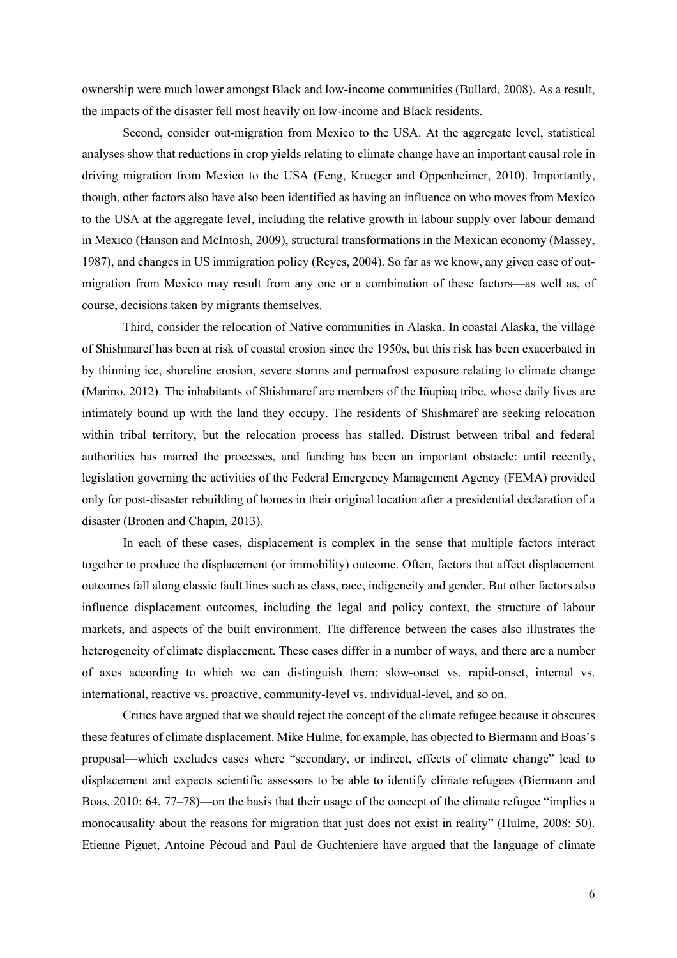ownership were much lower amongst Black and low-income communities (Bullard, 2008). As a result, the impacts of the disaster fell most heavily on low-income and Black residents.

Second, consider out-migration from Mexico to the USA. At the aggregate level, statistical analyses show that reductions in crop yields relating to climate change have an important causal role in driving migration from Mexico to the USA (Feng, Krueger and Oppenheimer, 2010). Importantly, though, other factors also have also been identified as having an influence on who moves from Mexico to the USA at the aggregate level, including the relative growth in labour supply over labour demand in Mexico (Hanson and McIntosh, 2009), structural transformations in the Mexican economy (Massey, 1987), and changes in US immigration policy (Reyes, 2004). So far as we know, any given case of outmigration from Mexico may result from any one or a combination of these factors—as well as, of course, decisions taken by migrants themselves.

Third, consider the relocation of Native communities in Alaska. In coastal Alaska, the village of Shishmaref has been at risk of coastal erosion since the 1950s, but this risk has been exacerbated in by thinning ice, shoreline erosion, severe storms and permafrost exposure relating to climate change (Marino, 2012). The inhabitants of Shishmaref are members of the Iñupiaq tribe, whose daily lives are intimately bound up with the land they occupy. The residents of Shishmaref are seeking relocation within tribal territory, but the relocation process has stalled. Distrust between tribal and federal authorities has marred the processes, and funding has been an important obstacle: until recently, legislation governing the activities of the Federal Emergency Management Agency (FEMA) provided only for post-disaster rebuilding of homes in their original location after a presidential declaration of a disaster (Bronen and Chapin, 2013).

In each of these cases, displacement is complex in the sense that multiple factors interact together to produce the displacement (or immobility) outcome. Often, factors that affect displacement outcomes fall along classic fault lines such as class, race, indigeneity and gender. But other factors also influence displacement outcomes, including the legal and policy context, the structure of labour markets, and aspects of the built environment. The difference between the cases also illustrates the heterogeneity of climate displacement. These cases differ in a number of ways, and there are a number of axes according to which we can distinguish them: slow-onset vs. rapid-onset, internal vs. international, reactive vs. proactive, community-level vs. individual-level, and so on.

Critics have argued that we should reject the concept of the climate refugee because it obscures these features of climate displacement. Mike Hulme, for example, has objected to Biermann and Boas's proposal—which excludes cases where "secondary, or indirect, effects of climate change" lead to displacement and expects scientific assessors to be able to identify climate refugees (Biermann and Boas, 2010: 64, 77–78)—on the basis that their usage of the concept of the climate refugee "implies a monocausality about the reasons for migration that just does not exist in reality" (Hulme, 2008: 50). Etienne Piguet, Antoine Pécoud and Paul de Guchteniere have argued that the language of climate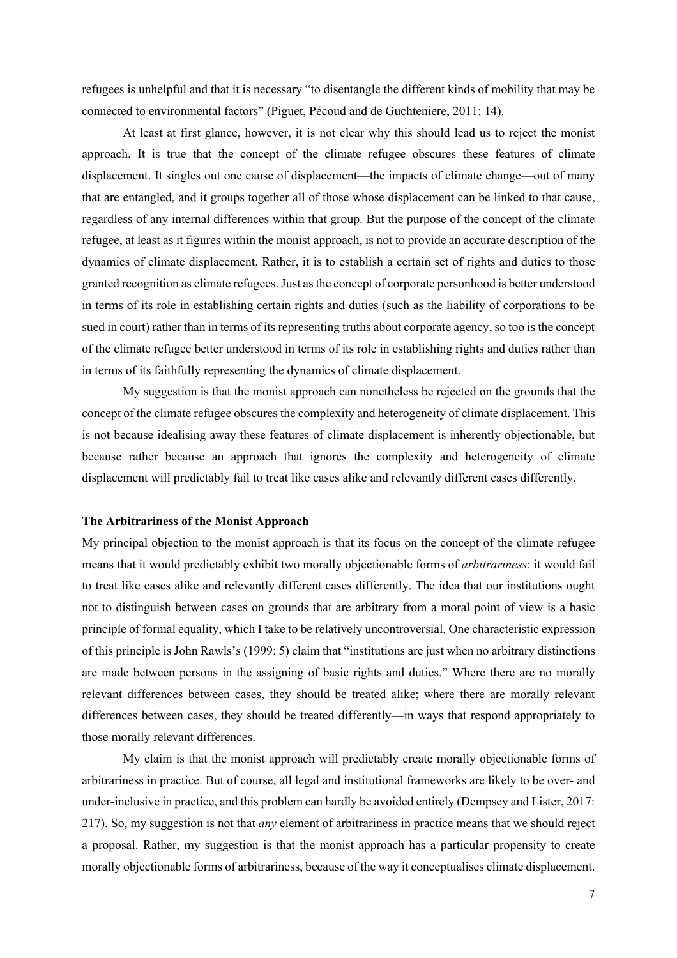refugees is unhelpful and that it is necessary "to disentangle the different kinds of mobility that may be connected to environmental factors" (Piguet, Pécoud and de Guchteniere, 2011: 14).

At least at first glance, however, it is not clear why this should lead us to reject the monist approach. It is true that the concept of the climate refugee obscures these features of climate displacement. It singles out one cause of displacement—the impacts of climate change—out of many that are entangled, and it groups together all of those whose displacement can be linked to that cause, regardless of any internal differences within that group. But the purpose of the concept of the climate refugee, at least as it figures within the monist approach, is not to provide an accurate description of the dynamics of climate displacement. Rather, it is to establish a certain set of rights and duties to those granted recognition as climate refugees. Just as the concept of corporate personhood is better understood in terms of its role in establishing certain rights and duties (such as the liability of corporations to be sued in court) rather than in terms of its representing truths about corporate agency, so too is the concept of the climate refugee better understood in terms of its role in establishing rights and duties rather than in terms of its faithfully representing the dynamics of climate displacement.

My suggestion is that the monist approach can nonetheless be rejected on the grounds that the concept of the climate refugee obscures the complexity and heterogeneity of climate displacement. This is not because idealising away these features of climate displacement is inherently objectionable, but because rather because an approach that ignores the complexity and heterogeneity of climate displacement will predictably fail to treat like cases alike and relevantly different cases differently.

## **The Arbitrariness of the Monist Approach**

My principal objection to the monist approach is that its focus on the concept of the climate refugee means that it would predictably exhibit two morally objectionable forms of *arbitrariness*: it would fail to treat like cases alike and relevantly different cases differently. The idea that our institutions ought not to distinguish between cases on grounds that are arbitrary from a moral point of view is a basic principle of formal equality, which I take to be relatively uncontroversial. One characteristic expression of this principle is John Rawls's (1999: 5) claim that "institutions are just when no arbitrary distinctions are made between persons in the assigning of basic rights and duties." Where there are no morally relevant differences between cases, they should be treated alike; where there are morally relevant differences between cases, they should be treated differently—in ways that respond appropriately to those morally relevant differences.

My claim is that the monist approach will predictably create morally objectionable forms of arbitrariness in practice. But of course, all legal and institutional frameworks are likely to be over- and under-inclusive in practice, and this problem can hardly be avoided entirely (Dempsey and Lister, 2017: 217). So, my suggestion is not that *any* element of arbitrariness in practice means that we should reject a proposal. Rather, my suggestion is that the monist approach has a particular propensity to create morally objectionable forms of arbitrariness, because of the way it conceptualises climate displacement.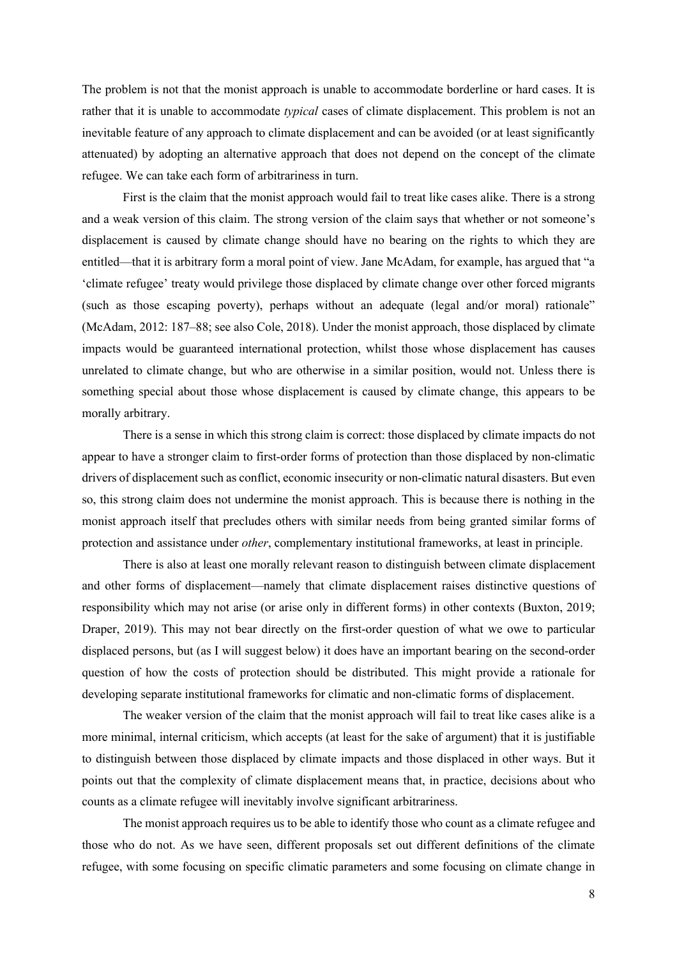The problem is not that the monist approach is unable to accommodate borderline or hard cases. It is rather that it is unable to accommodate *typical* cases of climate displacement. This problem is not an inevitable feature of any approach to climate displacement and can be avoided (or at least significantly attenuated) by adopting an alternative approach that does not depend on the concept of the climate refugee. We can take each form of arbitrariness in turn.

First is the claim that the monist approach would fail to treat like cases alike. There is a strong and a weak version of this claim. The strong version of the claim says that whether or not someone's displacement is caused by climate change should have no bearing on the rights to which they are entitled—that it is arbitrary form a moral point of view. Jane McAdam, for example, has argued that "a 'climate refugee' treaty would privilege those displaced by climate change over other forced migrants (such as those escaping poverty), perhaps without an adequate (legal and/or moral) rationale" (McAdam, 2012: 187–88; see also Cole, 2018). Under the monist approach, those displaced by climate impacts would be guaranteed international protection, whilst those whose displacement has causes unrelated to climate change, but who are otherwise in a similar position, would not. Unless there is something special about those whose displacement is caused by climate change, this appears to be morally arbitrary.

There is a sense in which this strong claim is correct: those displaced by climate impacts do not appear to have a stronger claim to first-order forms of protection than those displaced by non-climatic drivers of displacement such as conflict, economic insecurity or non-climatic natural disasters. But even so, this strong claim does not undermine the monist approach. This is because there is nothing in the monist approach itself that precludes others with similar needs from being granted similar forms of protection and assistance under *other*, complementary institutional frameworks, at least in principle.

There is also at least one morally relevant reason to distinguish between climate displacement and other forms of displacement—namely that climate displacement raises distinctive questions of responsibility which may not arise (or arise only in different forms) in other contexts (Buxton, 2019; Draper, 2019). This may not bear directly on the first-order question of what we owe to particular displaced persons, but (as I will suggest below) it does have an important bearing on the second-order question of how the costs of protection should be distributed. This might provide a rationale for developing separate institutional frameworks for climatic and non-climatic forms of displacement.

The weaker version of the claim that the monist approach will fail to treat like cases alike is a more minimal, internal criticism, which accepts (at least for the sake of argument) that it is justifiable to distinguish between those displaced by climate impacts and those displaced in other ways. But it points out that the complexity of climate displacement means that, in practice, decisions about who counts as a climate refugee will inevitably involve significant arbitrariness.

The monist approach requires us to be able to identify those who count as a climate refugee and those who do not. As we have seen, different proposals set out different definitions of the climate refugee, with some focusing on specific climatic parameters and some focusing on climate change in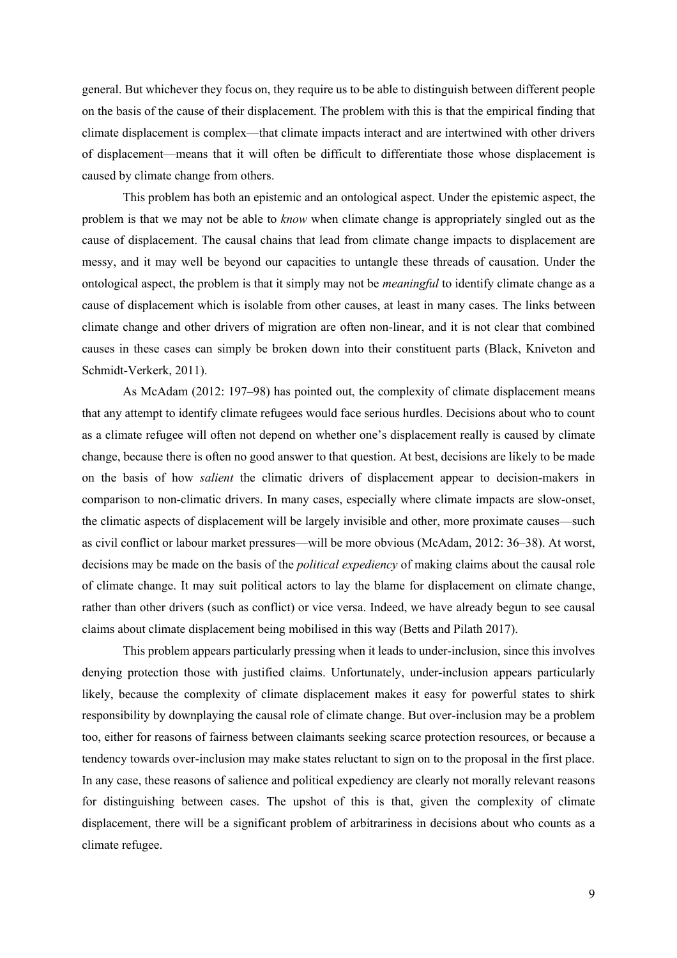general. But whichever they focus on, they require us to be able to distinguish between different people on the basis of the cause of their displacement. The problem with this is that the empirical finding that climate displacement is complex—that climate impacts interact and are intertwined with other drivers of displacement—means that it will often be difficult to differentiate those whose displacement is caused by climate change from others.

This problem has both an epistemic and an ontological aspect. Under the epistemic aspect, the problem is that we may not be able to *know* when climate change is appropriately singled out as the cause of displacement. The causal chains that lead from climate change impacts to displacement are messy, and it may well be beyond our capacities to untangle these threads of causation. Under the ontological aspect, the problem is that it simply may not be *meaningful* to identify climate change as a cause of displacement which is isolable from other causes, at least in many cases. The links between climate change and other drivers of migration are often non-linear, and it is not clear that combined causes in these cases can simply be broken down into their constituent parts (Black, Kniveton and Schmidt-Verkerk, 2011).

As McAdam (2012: 197–98) has pointed out, the complexity of climate displacement means that any attempt to identify climate refugees would face serious hurdles. Decisions about who to count as a climate refugee will often not depend on whether one's displacement really is caused by climate change, because there is often no good answer to that question. At best, decisions are likely to be made on the basis of how *salient* the climatic drivers of displacement appear to decision-makers in comparison to non-climatic drivers. In many cases, especially where climate impacts are slow-onset, the climatic aspects of displacement will be largely invisible and other, more proximate causes—such as civil conflict or labour market pressures—will be more obvious (McAdam, 2012: 36–38). At worst, decisions may be made on the basis of the *political expediency* of making claims about the causal role of climate change. It may suit political actors to lay the blame for displacement on climate change, rather than other drivers (such as conflict) or vice versa. Indeed, we have already begun to see causal claims about climate displacement being mobilised in this way (Betts and Pilath 2017).

This problem appears particularly pressing when it leads to under-inclusion, since this involves denying protection those with justified claims. Unfortunately, under-inclusion appears particularly likely, because the complexity of climate displacement makes it easy for powerful states to shirk responsibility by downplaying the causal role of climate change. But over-inclusion may be a problem too, either for reasons of fairness between claimants seeking scarce protection resources, or because a tendency towards over-inclusion may make states reluctant to sign on to the proposal in the first place. In any case, these reasons of salience and political expediency are clearly not morally relevant reasons for distinguishing between cases. The upshot of this is that, given the complexity of climate displacement, there will be a significant problem of arbitrariness in decisions about who counts as a climate refugee.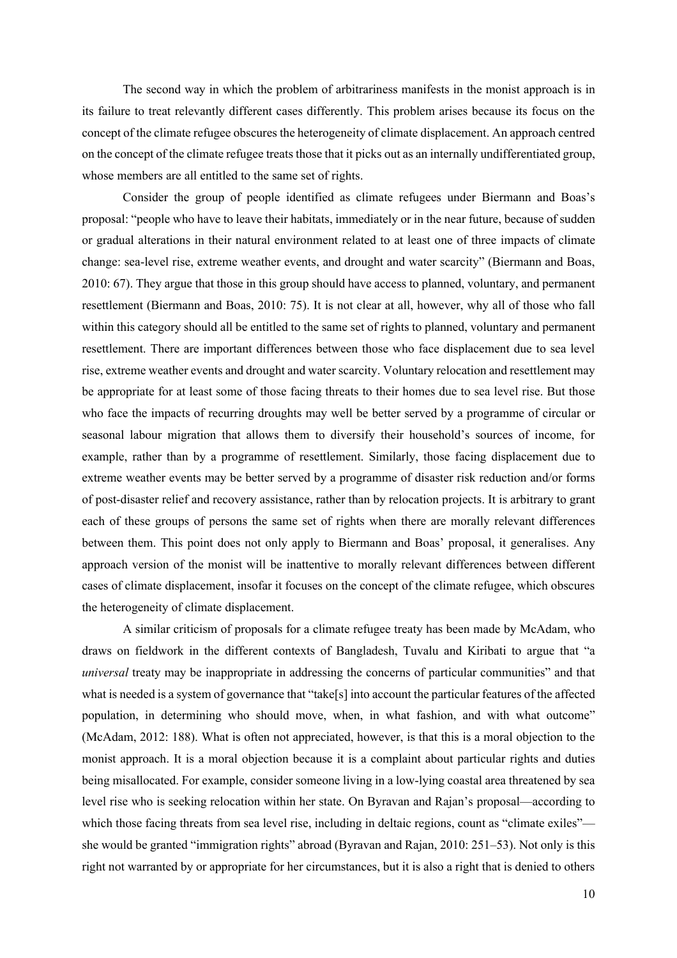The second way in which the problem of arbitrariness manifests in the monist approach is in its failure to treat relevantly different cases differently. This problem arises because its focus on the concept of the climate refugee obscures the heterogeneity of climate displacement. An approach centred on the concept of the climate refugee treats those that it picks out as an internally undifferentiated group, whose members are all entitled to the same set of rights.

Consider the group of people identified as climate refugees under Biermann and Boas's proposal: "people who have to leave their habitats, immediately or in the near future, because of sudden or gradual alterations in their natural environment related to at least one of three impacts of climate change: sea-level rise, extreme weather events, and drought and water scarcity" (Biermann and Boas, 2010: 67). They argue that those in this group should have access to planned, voluntary, and permanent resettlement (Biermann and Boas, 2010: 75). It is not clear at all, however, why all of those who fall within this category should all be entitled to the same set of rights to planned, voluntary and permanent resettlement. There are important differences between those who face displacement due to sea level rise, extreme weather events and drought and water scarcity. Voluntary relocation and resettlement may be appropriate for at least some of those facing threats to their homes due to sea level rise. But those who face the impacts of recurring droughts may well be better served by a programme of circular or seasonal labour migration that allows them to diversify their household's sources of income, for example, rather than by a programme of resettlement. Similarly, those facing displacement due to extreme weather events may be better served by a programme of disaster risk reduction and/or forms of post-disaster relief and recovery assistance, rather than by relocation projects. It is arbitrary to grant each of these groups of persons the same set of rights when there are morally relevant differences between them. This point does not only apply to Biermann and Boas' proposal, it generalises. Any approach version of the monist will be inattentive to morally relevant differences between different cases of climate displacement, insofar it focuses on the concept of the climate refugee, which obscures the heterogeneity of climate displacement.

A similar criticism of proposals for a climate refugee treaty has been made by McAdam, who draws on fieldwork in the different contexts of Bangladesh, Tuvalu and Kiribati to argue that "a *universal* treaty may be inappropriate in addressing the concerns of particular communities" and that what is needed is a system of governance that "take[s] into account the particular features of the affected population, in determining who should move, when, in what fashion, and with what outcome" (McAdam, 2012: 188). What is often not appreciated, however, is that this is a moral objection to the monist approach. It is a moral objection because it is a complaint about particular rights and duties being misallocated. For example, consider someone living in a low-lying coastal area threatened by sea level rise who is seeking relocation within her state. On Byravan and Rajan's proposal—according to which those facing threats from sea level rise, including in deltaic regions, count as "climate exiles" she would be granted "immigration rights" abroad (Byravan and Rajan, 2010: 251–53). Not only is this right not warranted by or appropriate for her circumstances, but it is also a right that is denied to others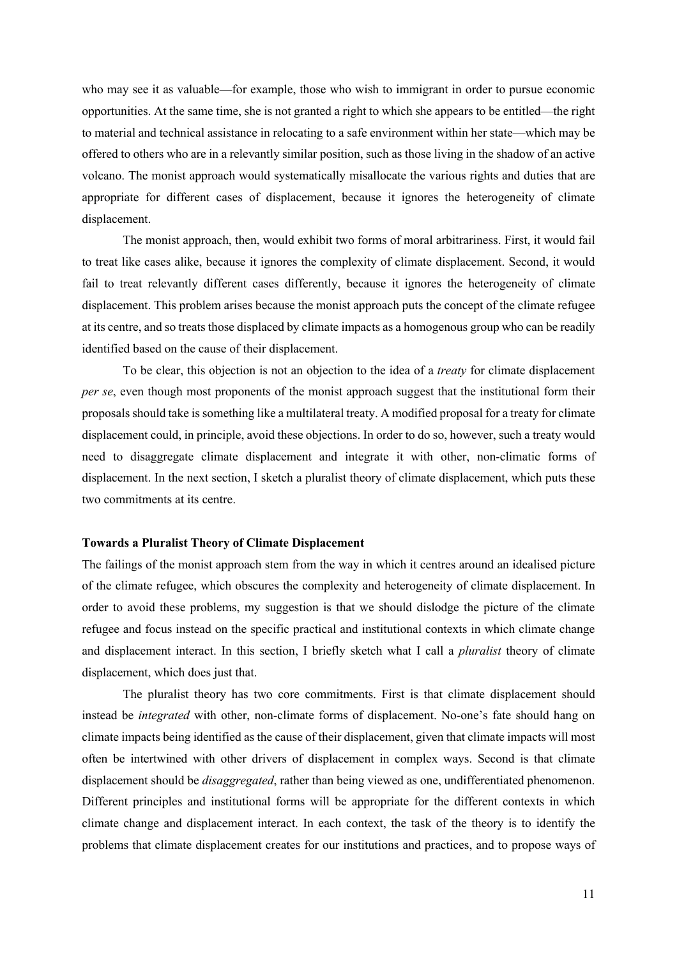who may see it as valuable—for example, those who wish to immigrant in order to pursue economic opportunities. At the same time, she is not granted a right to which she appears to be entitled—the right to material and technical assistance in relocating to a safe environment within her state—which may be offered to others who are in a relevantly similar position, such as those living in the shadow of an active volcano. The monist approach would systematically misallocate the various rights and duties that are appropriate for different cases of displacement, because it ignores the heterogeneity of climate displacement.

The monist approach, then, would exhibit two forms of moral arbitrariness. First, it would fail to treat like cases alike, because it ignores the complexity of climate displacement. Second, it would fail to treat relevantly different cases differently, because it ignores the heterogeneity of climate displacement. This problem arises because the monist approach puts the concept of the climate refugee at its centre, and so treats those displaced by climate impacts as a homogenous group who can be readily identified based on the cause of their displacement.

To be clear, this objection is not an objection to the idea of a *treaty* for climate displacement *per se*, even though most proponents of the monist approach suggest that the institutional form their proposals should take is something like a multilateral treaty. A modified proposal for a treaty for climate displacement could, in principle, avoid these objections. In order to do so, however, such a treaty would need to disaggregate climate displacement and integrate it with other, non-climatic forms of displacement. In the next section, I sketch a pluralist theory of climate displacement, which puts these two commitments at its centre.

#### **Towards a Pluralist Theory of Climate Displacement**

The failings of the monist approach stem from the way in which it centres around an idealised picture of the climate refugee, which obscures the complexity and heterogeneity of climate displacement. In order to avoid these problems, my suggestion is that we should dislodge the picture of the climate refugee and focus instead on the specific practical and institutional contexts in which climate change and displacement interact. In this section, I briefly sketch what I call a *pluralist* theory of climate displacement, which does just that.

The pluralist theory has two core commitments. First is that climate displacement should instead be *integrated* with other, non-climate forms of displacement. No-one's fate should hang on climate impacts being identified as the cause of their displacement, given that climate impacts will most often be intertwined with other drivers of displacement in complex ways. Second is that climate displacement should be *disaggregated*, rather than being viewed as one, undifferentiated phenomenon. Different principles and institutional forms will be appropriate for the different contexts in which climate change and displacement interact. In each context, the task of the theory is to identify the problems that climate displacement creates for our institutions and practices, and to propose ways of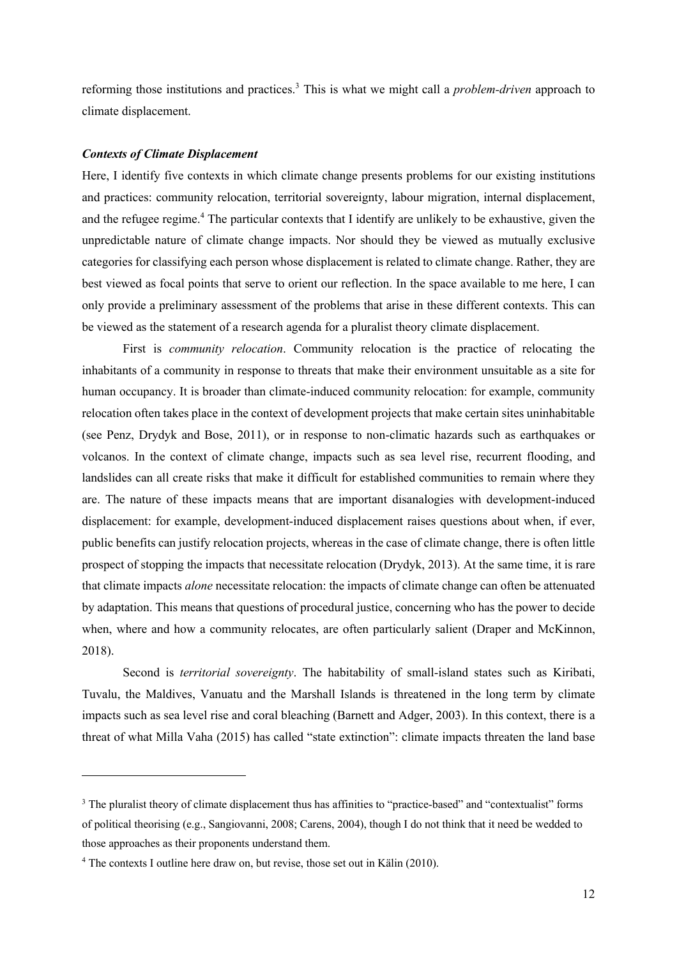reforming those institutions and practices.3 This is what we might call a *problem-driven* approach to climate displacement.

#### *Contexts of Climate Displacement*

Here, I identify five contexts in which climate change presents problems for our existing institutions and practices: community relocation, territorial sovereignty, labour migration, internal displacement, and the refugee regime.<sup>4</sup> The particular contexts that I identify are unlikely to be exhaustive, given the unpredictable nature of climate change impacts. Nor should they be viewed as mutually exclusive categories for classifying each person whose displacement is related to climate change. Rather, they are best viewed as focal points that serve to orient our reflection. In the space available to me here, I can only provide a preliminary assessment of the problems that arise in these different contexts. This can be viewed as the statement of a research agenda for a pluralist theory climate displacement.

First is *community relocation*. Community relocation is the practice of relocating the inhabitants of a community in response to threats that make their environment unsuitable as a site for human occupancy. It is broader than climate-induced community relocation: for example, community relocation often takes place in the context of development projects that make certain sites uninhabitable (see Penz, Drydyk and Bose, 2011), or in response to non-climatic hazards such as earthquakes or volcanos. In the context of climate change, impacts such as sea level rise, recurrent flooding, and landslides can all create risks that make it difficult for established communities to remain where they are. The nature of these impacts means that are important disanalogies with development-induced displacement: for example, development-induced displacement raises questions about when, if ever, public benefits can justify relocation projects, whereas in the case of climate change, there is often little prospect of stopping the impacts that necessitate relocation (Drydyk, 2013). At the same time, it is rare that climate impacts *alone* necessitate relocation: the impacts of climate change can often be attenuated by adaptation. This means that questions of procedural justice, concerning who has the power to decide when, where and how a community relocates, are often particularly salient (Draper and McKinnon, 2018).

Second is *territorial sovereignty*. The habitability of small-island states such as Kiribati, Tuvalu, the Maldives, Vanuatu and the Marshall Islands is threatened in the long term by climate impacts such as sea level rise and coral bleaching (Barnett and Adger, 2003). In this context, there is a threat of what Milla Vaha (2015) has called "state extinction": climate impacts threaten the land base

<sup>&</sup>lt;sup>3</sup> The pluralist theory of climate displacement thus has affinities to "practice-based" and "contextualist" forms of political theorising (e.g., Sangiovanni, 2008; Carens, 2004), though I do not think that it need be wedded to those approaches as their proponents understand them.

<sup>4</sup> The contexts I outline here draw on, but revise, those set out in Kälin (2010).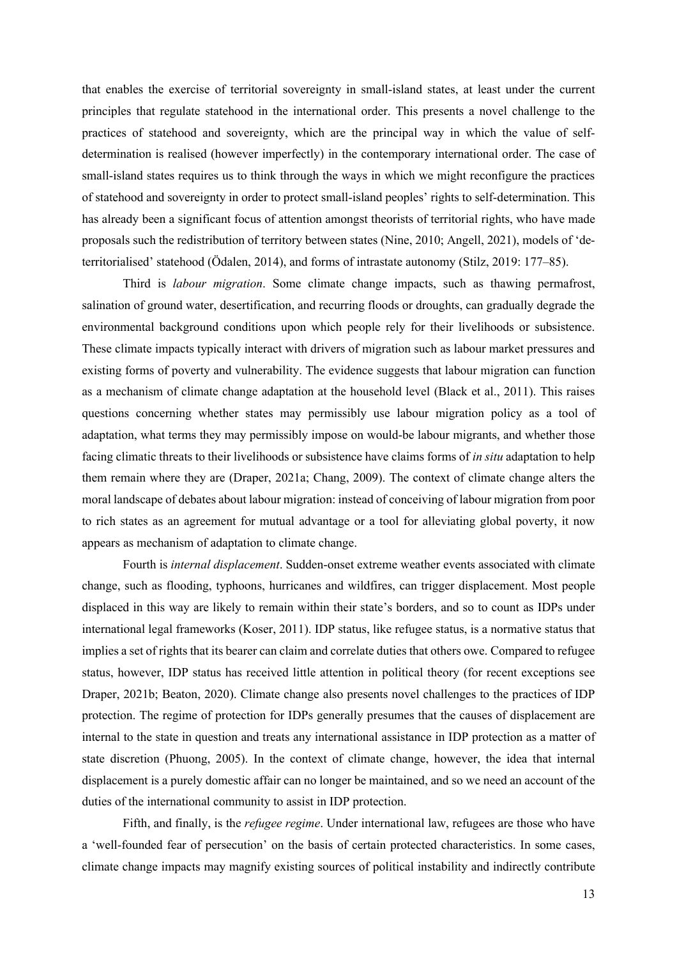that enables the exercise of territorial sovereignty in small-island states, at least under the current principles that regulate statehood in the international order. This presents a novel challenge to the practices of statehood and sovereignty, which are the principal way in which the value of selfdetermination is realised (however imperfectly) in the contemporary international order. The case of small-island states requires us to think through the ways in which we might reconfigure the practices of statehood and sovereignty in order to protect small-island peoples' rights to self-determination. This has already been a significant focus of attention amongst theorists of territorial rights, who have made proposals such the redistribution of territory between states (Nine, 2010; Angell, 2021), models of 'deterritorialised' statehood (Ödalen, 2014), and forms of intrastate autonomy (Stilz, 2019: 177–85).

Third is *labour migration*. Some climate change impacts, such as thawing permafrost, salination of ground water, desertification, and recurring floods or droughts, can gradually degrade the environmental background conditions upon which people rely for their livelihoods or subsistence. These climate impacts typically interact with drivers of migration such as labour market pressures and existing forms of poverty and vulnerability. The evidence suggests that labour migration can function as a mechanism of climate change adaptation at the household level (Black et al., 2011). This raises questions concerning whether states may permissibly use labour migration policy as a tool of adaptation, what terms they may permissibly impose on would-be labour migrants, and whether those facing climatic threats to their livelihoods or subsistence have claims forms of *in situ* adaptation to help them remain where they are (Draper, 2021a; Chang, 2009). The context of climate change alters the moral landscape of debates about labour migration: instead of conceiving of labour migration from poor to rich states as an agreement for mutual advantage or a tool for alleviating global poverty, it now appears as mechanism of adaptation to climate change.

Fourth is *internal displacement*. Sudden-onset extreme weather events associated with climate change, such as flooding, typhoons, hurricanes and wildfires, can trigger displacement. Most people displaced in this way are likely to remain within their state's borders, and so to count as IDPs under international legal frameworks (Koser, 2011). IDP status, like refugee status, is a normative status that implies a set of rights that its bearer can claim and correlate duties that others owe. Compared to refugee status, however, IDP status has received little attention in political theory (for recent exceptions see Draper, 2021b; Beaton, 2020). Climate change also presents novel challenges to the practices of IDP protection. The regime of protection for IDPs generally presumes that the causes of displacement are internal to the state in question and treats any international assistance in IDP protection as a matter of state discretion (Phuong, 2005). In the context of climate change, however, the idea that internal displacement is a purely domestic affair can no longer be maintained, and so we need an account of the duties of the international community to assist in IDP protection.

Fifth, and finally, is the *refugee regime*. Under international law, refugees are those who have a 'well-founded fear of persecution' on the basis of certain protected characteristics. In some cases, climate change impacts may magnify existing sources of political instability and indirectly contribute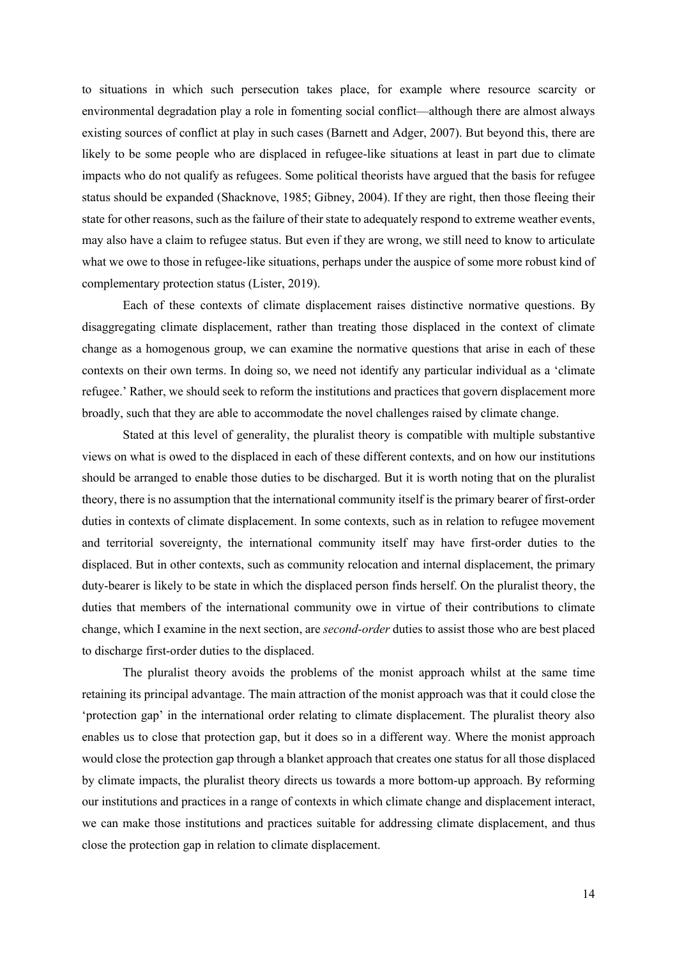to situations in which such persecution takes place, for example where resource scarcity or environmental degradation play a role in fomenting social conflict—although there are almost always existing sources of conflict at play in such cases (Barnett and Adger, 2007). But beyond this, there are likely to be some people who are displaced in refugee-like situations at least in part due to climate impacts who do not qualify as refugees. Some political theorists have argued that the basis for refugee status should be expanded (Shacknove, 1985; Gibney, 2004). If they are right, then those fleeing their state for other reasons, such as the failure of their state to adequately respond to extreme weather events, may also have a claim to refugee status. But even if they are wrong, we still need to know to articulate what we owe to those in refugee-like situations, perhaps under the auspice of some more robust kind of complementary protection status (Lister, 2019).

Each of these contexts of climate displacement raises distinctive normative questions. By disaggregating climate displacement, rather than treating those displaced in the context of climate change as a homogenous group, we can examine the normative questions that arise in each of these contexts on their own terms. In doing so, we need not identify any particular individual as a 'climate refugee.' Rather, we should seek to reform the institutions and practices that govern displacement more broadly, such that they are able to accommodate the novel challenges raised by climate change.

Stated at this level of generality, the pluralist theory is compatible with multiple substantive views on what is owed to the displaced in each of these different contexts, and on how our institutions should be arranged to enable those duties to be discharged. But it is worth noting that on the pluralist theory, there is no assumption that the international community itself is the primary bearer of first-order duties in contexts of climate displacement. In some contexts, such as in relation to refugee movement and territorial sovereignty, the international community itself may have first-order duties to the displaced. But in other contexts, such as community relocation and internal displacement, the primary duty-bearer is likely to be state in which the displaced person finds herself. On the pluralist theory, the duties that members of the international community owe in virtue of their contributions to climate change, which I examine in the next section, are *second-order* duties to assist those who are best placed to discharge first-order duties to the displaced.

The pluralist theory avoids the problems of the monist approach whilst at the same time retaining its principal advantage. The main attraction of the monist approach was that it could close the 'protection gap' in the international order relating to climate displacement. The pluralist theory also enables us to close that protection gap, but it does so in a different way. Where the monist approach would close the protection gap through a blanket approach that creates one status for all those displaced by climate impacts, the pluralist theory directs us towards a more bottom-up approach. By reforming our institutions and practices in a range of contexts in which climate change and displacement interact, we can make those institutions and practices suitable for addressing climate displacement, and thus close the protection gap in relation to climate displacement.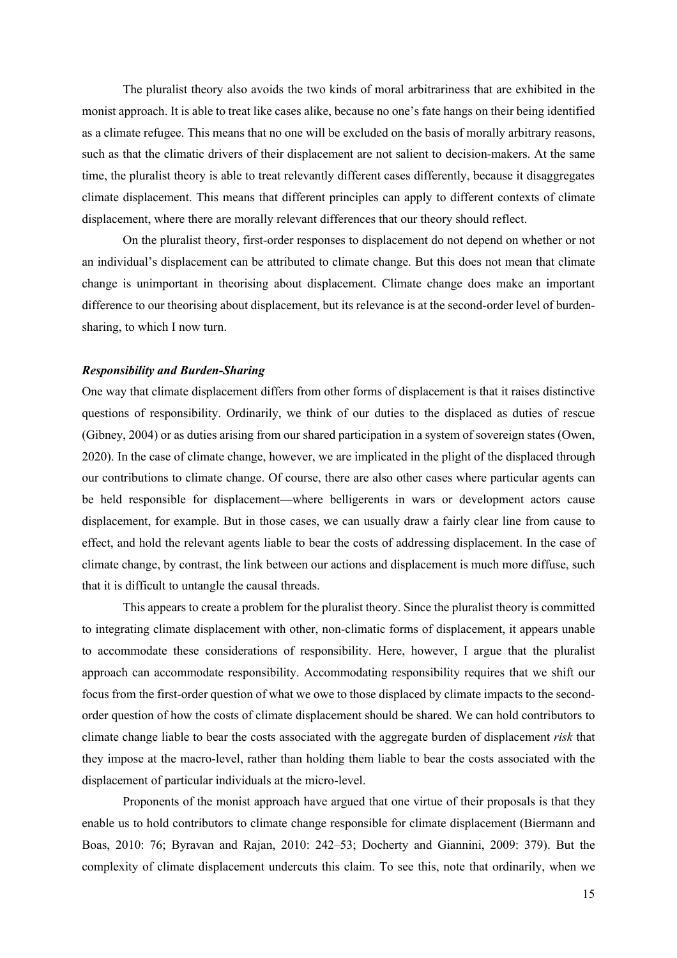The pluralist theory also avoids the two kinds of moral arbitrariness that are exhibited in the monist approach. It is able to treat like cases alike, because no one's fate hangs on their being identified as a climate refugee. This means that no one will be excluded on the basis of morally arbitrary reasons, such as that the climatic drivers of their displacement are not salient to decision-makers. At the same time, the pluralist theory is able to treat relevantly different cases differently, because it disaggregates climate displacement. This means that different principles can apply to different contexts of climate displacement, where there are morally relevant differences that our theory should reflect.

On the pluralist theory, first-order responses to displacement do not depend on whether or not an individual's displacement can be attributed to climate change. But this does not mean that climate change is unimportant in theorising about displacement. Climate change does make an important difference to our theorising about displacement, but its relevance is at the second-order level of burdensharing, to which I now turn.

### *Responsibility and Burden-Sharing*

One way that climate displacement differs from other forms of displacement is that it raises distinctive questions of responsibility. Ordinarily, we think of our duties to the displaced as duties of rescue (Gibney, 2004) or as duties arising from our shared participation in a system of sovereign states (Owen, 2020). In the case of climate change, however, we are implicated in the plight of the displaced through our contributions to climate change. Of course, there are also other cases where particular agents can be held responsible for displacement—where belligerents in wars or development actors cause displacement, for example. But in those cases, we can usually draw a fairly clear line from cause to effect, and hold the relevant agents liable to bear the costs of addressing displacement. In the case of climate change, by contrast, the link between our actions and displacement is much more diffuse, such that it is difficult to untangle the causal threads.

This appears to create a problem for the pluralist theory. Since the pluralist theory is committed to integrating climate displacement with other, non-climatic forms of displacement, it appears unable to accommodate these considerations of responsibility. Here, however, I argue that the pluralist approach can accommodate responsibility. Accommodating responsibility requires that we shift our focus from the first-order question of what we owe to those displaced by climate impacts to the secondorder question of how the costs of climate displacement should be shared. We can hold contributors to climate change liable to bear the costs associated with the aggregate burden of displacement *risk* that they impose at the macro-level, rather than holding them liable to bear the costs associated with the displacement of particular individuals at the micro-level.

Proponents of the monist approach have argued that one virtue of their proposals is that they enable us to hold contributors to climate change responsible for climate displacement (Biermann and Boas, 2010: 76; Byravan and Rajan, 2010: 242–53; Docherty and Giannini, 2009: 379). But the complexity of climate displacement undercuts this claim. To see this, note that ordinarily, when we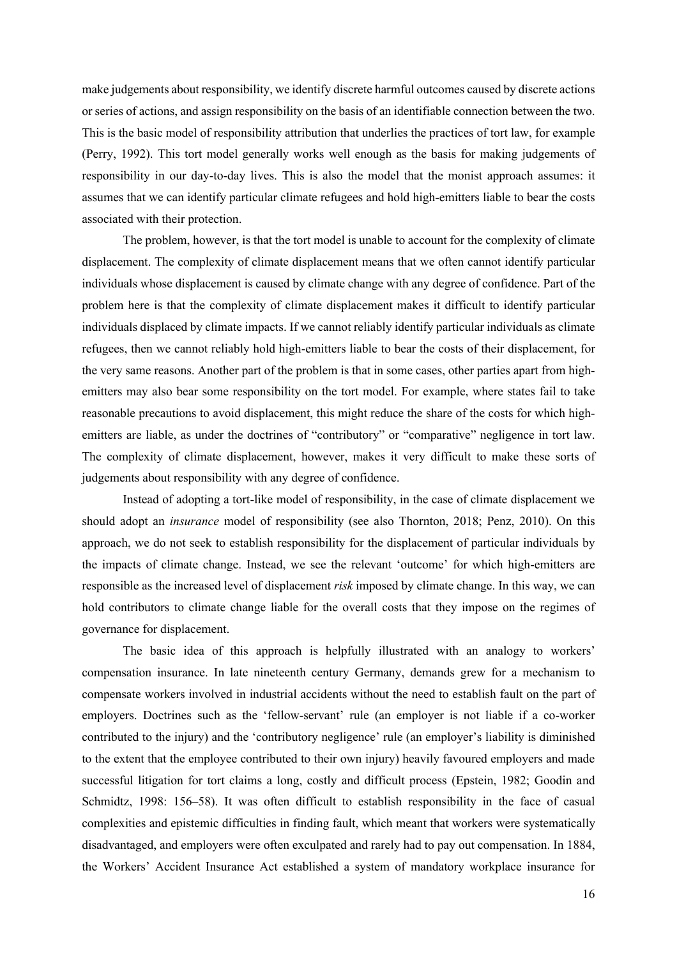make judgements about responsibility, we identify discrete harmful outcomes caused by discrete actions or series of actions, and assign responsibility on the basis of an identifiable connection between the two. This is the basic model of responsibility attribution that underlies the practices of tort law, for example (Perry, 1992). This tort model generally works well enough as the basis for making judgements of responsibility in our day-to-day lives. This is also the model that the monist approach assumes: it assumes that we can identify particular climate refugees and hold high-emitters liable to bear the costs associated with their protection.

The problem, however, is that the tort model is unable to account for the complexity of climate displacement. The complexity of climate displacement means that we often cannot identify particular individuals whose displacement is caused by climate change with any degree of confidence. Part of the problem here is that the complexity of climate displacement makes it difficult to identify particular individuals displaced by climate impacts. If we cannot reliably identify particular individuals as climate refugees, then we cannot reliably hold high-emitters liable to bear the costs of their displacement, for the very same reasons. Another part of the problem is that in some cases, other parties apart from highemitters may also bear some responsibility on the tort model. For example, where states fail to take reasonable precautions to avoid displacement, this might reduce the share of the costs for which highemitters are liable, as under the doctrines of "contributory" or "comparative" negligence in tort law. The complexity of climate displacement, however, makes it very difficult to make these sorts of judgements about responsibility with any degree of confidence.

Instead of adopting a tort-like model of responsibility, in the case of climate displacement we should adopt an *insurance* model of responsibility (see also Thornton, 2018; Penz, 2010). On this approach, we do not seek to establish responsibility for the displacement of particular individuals by the impacts of climate change. Instead, we see the relevant 'outcome' for which high-emitters are responsible as the increased level of displacement *risk* imposed by climate change. In this way, we can hold contributors to climate change liable for the overall costs that they impose on the regimes of governance for displacement.

The basic idea of this approach is helpfully illustrated with an analogy to workers' compensation insurance. In late nineteenth century Germany, demands grew for a mechanism to compensate workers involved in industrial accidents without the need to establish fault on the part of employers. Doctrines such as the 'fellow-servant' rule (an employer is not liable if a co-worker contributed to the injury) and the 'contributory negligence' rule (an employer's liability is diminished to the extent that the employee contributed to their own injury) heavily favoured employers and made successful litigation for tort claims a long, costly and difficult process (Epstein, 1982; Goodin and Schmidtz, 1998: 156–58). It was often difficult to establish responsibility in the face of casual complexities and epistemic difficulties in finding fault, which meant that workers were systematically disadvantaged, and employers were often exculpated and rarely had to pay out compensation. In 1884, the Workers' Accident Insurance Act established a system of mandatory workplace insurance for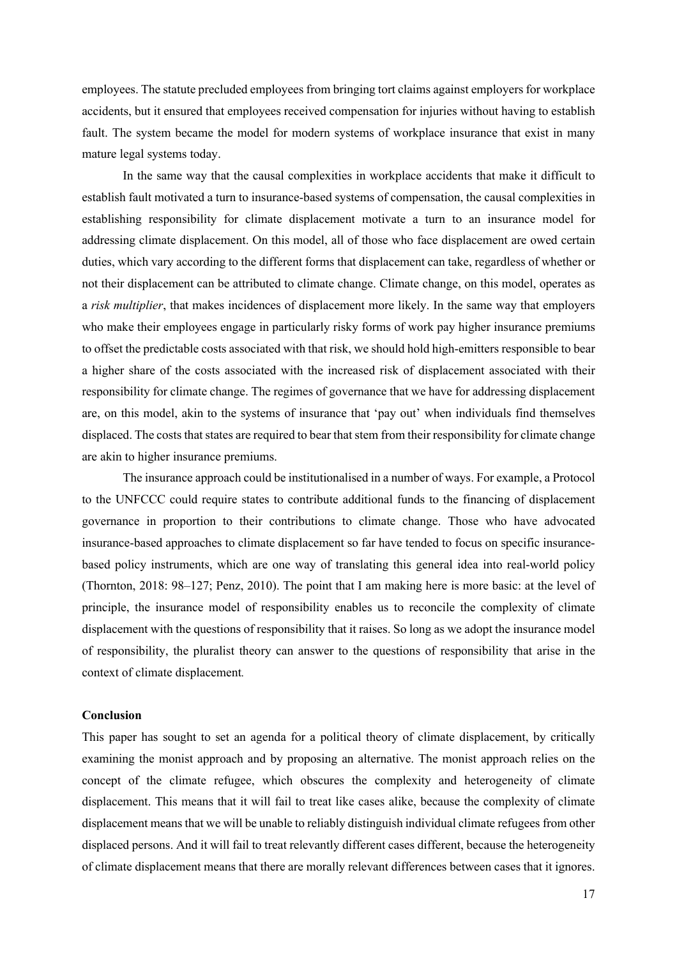employees. The statute precluded employees from bringing tort claims against employers for workplace accidents, but it ensured that employees received compensation for injuries without having to establish fault. The system became the model for modern systems of workplace insurance that exist in many mature legal systems today.

In the same way that the causal complexities in workplace accidents that make it difficult to establish fault motivated a turn to insurance-based systems of compensation, the causal complexities in establishing responsibility for climate displacement motivate a turn to an insurance model for addressing climate displacement. On this model, all of those who face displacement are owed certain duties, which vary according to the different forms that displacement can take, regardless of whether or not their displacement can be attributed to climate change. Climate change, on this model, operates as a *risk multiplier*, that makes incidences of displacement more likely. In the same way that employers who make their employees engage in particularly risky forms of work pay higher insurance premiums to offset the predictable costs associated with that risk, we should hold high-emitters responsible to bear a higher share of the costs associated with the increased risk of displacement associated with their responsibility for climate change. The regimes of governance that we have for addressing displacement are, on this model, akin to the systems of insurance that 'pay out' when individuals find themselves displaced. The costs that states are required to bear that stem from their responsibility for climate change are akin to higher insurance premiums.

The insurance approach could be institutionalised in a number of ways. For example, a Protocol to the UNFCCC could require states to contribute additional funds to the financing of displacement governance in proportion to their contributions to climate change. Those who have advocated insurance-based approaches to climate displacement so far have tended to focus on specific insurancebased policy instruments, which are one way of translating this general idea into real-world policy (Thornton, 2018: 98–127; Penz, 2010). The point that I am making here is more basic: at the level of principle, the insurance model of responsibility enables us to reconcile the complexity of climate displacement with the questions of responsibility that it raises. So long as we adopt the insurance model of responsibility, the pluralist theory can answer to the questions of responsibility that arise in the context of climate displacement*.*

## **Conclusion**

This paper has sought to set an agenda for a political theory of climate displacement, by critically examining the monist approach and by proposing an alternative. The monist approach relies on the concept of the climate refugee, which obscures the complexity and heterogeneity of climate displacement. This means that it will fail to treat like cases alike, because the complexity of climate displacement means that we will be unable to reliably distinguish individual climate refugees from other displaced persons. And it will fail to treat relevantly different cases different, because the heterogeneity of climate displacement means that there are morally relevant differences between cases that it ignores.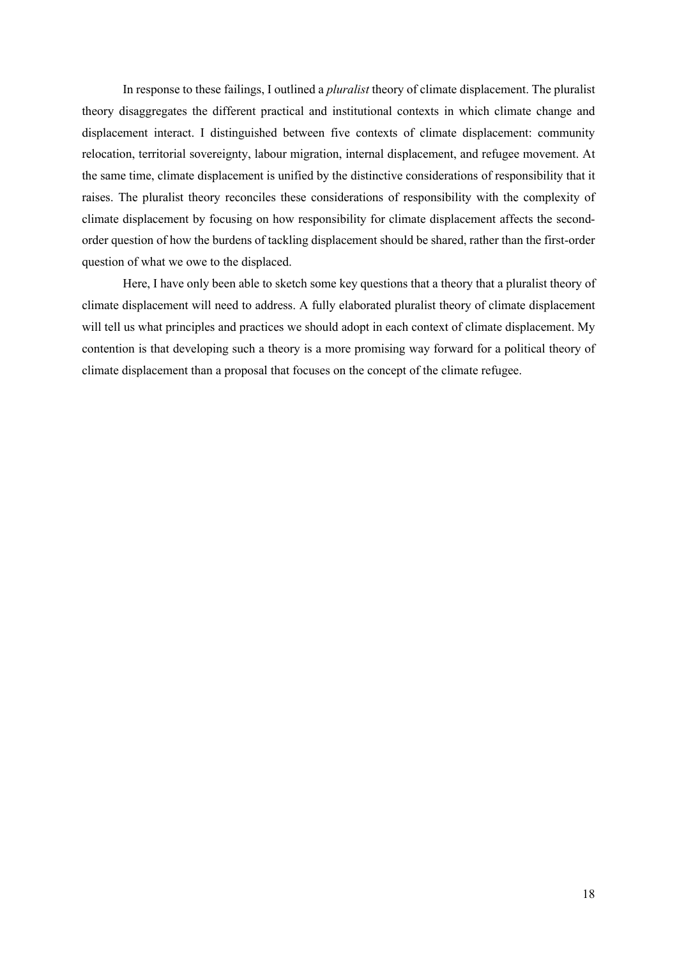In response to these failings, I outlined a *pluralist* theory of climate displacement. The pluralist theory disaggregates the different practical and institutional contexts in which climate change and displacement interact. I distinguished between five contexts of climate displacement: community relocation, territorial sovereignty, labour migration, internal displacement, and refugee movement. At the same time, climate displacement is unified by the distinctive considerations of responsibility that it raises. The pluralist theory reconciles these considerations of responsibility with the complexity of climate displacement by focusing on how responsibility for climate displacement affects the secondorder question of how the burdens of tackling displacement should be shared, rather than the first-order question of what we owe to the displaced.

Here, I have only been able to sketch some key questions that a theory that a pluralist theory of climate displacement will need to address. A fully elaborated pluralist theory of climate displacement will tell us what principles and practices we should adopt in each context of climate displacement. My contention is that developing such a theory is a more promising way forward for a political theory of climate displacement than a proposal that focuses on the concept of the climate refugee.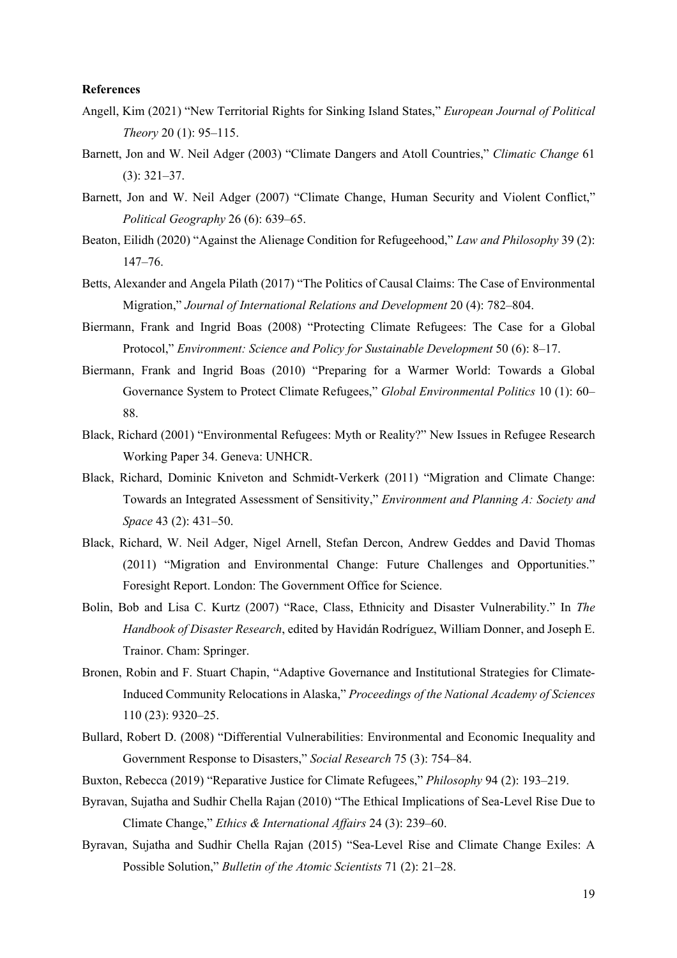#### **References**

- Angell, Kim (2021) "New Territorial Rights for Sinking Island States," *European Journal of Political Theory* 20 (1): 95–115.
- Barnett, Jon and W. Neil Adger (2003) "Climate Dangers and Atoll Countries," *Climatic Change* 61 (3): 321–37.
- Barnett, Jon and W. Neil Adger (2007) "Climate Change, Human Security and Violent Conflict," *Political Geography* 26 (6): 639–65.
- Beaton, Eilidh (2020) "Against the Alienage Condition for Refugeehood," *Law and Philosophy* 39 (2): 147–76.
- Betts, Alexander and Angela Pilath (2017) "The Politics of Causal Claims: The Case of Environmental Migration," *Journal of International Relations and Development* 20 (4): 782–804.
- Biermann, Frank and Ingrid Boas (2008) "Protecting Climate Refugees: The Case for a Global Protocol," *Environment: Science and Policy for Sustainable Development* 50 (6): 8–17.
- Biermann, Frank and Ingrid Boas (2010) "Preparing for a Warmer World: Towards a Global Governance System to Protect Climate Refugees," *Global Environmental Politics* 10 (1): 60– 88.
- Black, Richard (2001) "Environmental Refugees: Myth or Reality?" New Issues in Refugee Research Working Paper 34. Geneva: UNHCR.
- Black, Richard, Dominic Kniveton and Schmidt-Verkerk (2011) "Migration and Climate Change: Towards an Integrated Assessment of Sensitivity," *Environment and Planning A: Society and Space* 43 (2): 431–50.
- Black, Richard, W. Neil Adger, Nigel Arnell, Stefan Dercon, Andrew Geddes and David Thomas (2011) "Migration and Environmental Change: Future Challenges and Opportunities." Foresight Report. London: The Government Office for Science.
- Bolin, Bob and Lisa C. Kurtz (2007) "Race, Class, Ethnicity and Disaster Vulnerability." In *The Handbook of Disaster Research*, edited by Havidán Rodríguez, William Donner, and Joseph E. Trainor. Cham: Springer.
- Bronen, Robin and F. Stuart Chapin, "Adaptive Governance and Institutional Strategies for Climate-Induced Community Relocations in Alaska," *Proceedings of the National Academy of Sciences* 110 (23): 9320–25.
- Bullard, Robert D. (2008) "Differential Vulnerabilities: Environmental and Economic Inequality and Government Response to Disasters," *Social Research* 75 (3): 754–84.
- Buxton, Rebecca (2019) "Reparative Justice for Climate Refugees," *Philosophy* 94 (2): 193–219.
- Byravan, Sujatha and Sudhir Chella Rajan (2010) "The Ethical Implications of Sea-Level Rise Due to Climate Change," *Ethics & International Affairs* 24 (3): 239–60.
- Byravan, Sujatha and Sudhir Chella Rajan (2015) "Sea-Level Rise and Climate Change Exiles: A Possible Solution," *Bulletin of the Atomic Scientists* 71 (2): 21–28.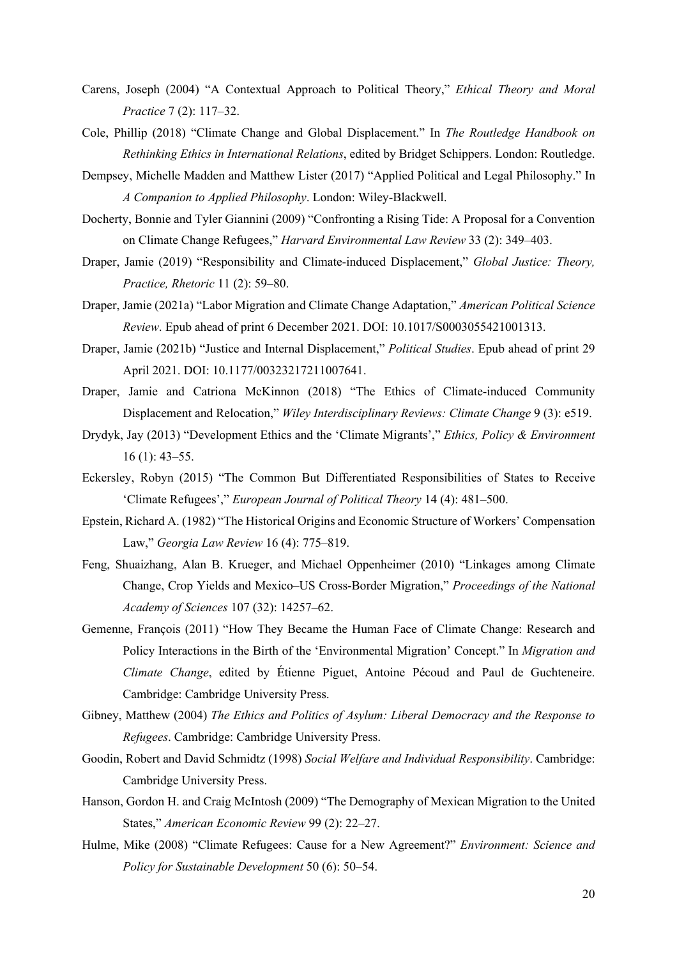- Carens, Joseph (2004) "A Contextual Approach to Political Theory," *Ethical Theory and Moral Practice* 7 (2): 117–32.
- Cole, Phillip (2018) "Climate Change and Global Displacement." In *The Routledge Handbook on Rethinking Ethics in International Relations*, edited by Bridget Schippers. London: Routledge.
- Dempsey, Michelle Madden and Matthew Lister (2017) "Applied Political and Legal Philosophy." In *A Companion to Applied Philosophy*. London: Wiley-Blackwell.
- Docherty, Bonnie and Tyler Giannini (2009) "Confronting a Rising Tide: A Proposal for a Convention on Climate Change Refugees," *Harvard Environmental Law Review* 33 (2): 349–403.
- Draper, Jamie (2019) "Responsibility and Climate-induced Displacement," *Global Justice: Theory, Practice, Rhetoric* 11 (2): 59–80.
- Draper, Jamie (2021a) "Labor Migration and Climate Change Adaptation," *American Political Science Review*. Epub ahead of print 6 December 2021. DOI: 10.1017/S0003055421001313.
- Draper, Jamie (2021b) "Justice and Internal Displacement," *Political Studies*. Epub ahead of print 29 April 2021. DOI: 10.1177/00323217211007641.
- Draper, Jamie and Catriona McKinnon (2018) "The Ethics of Climate-induced Community Displacement and Relocation," *Wiley Interdisciplinary Reviews: Climate Change* 9 (3): e519.
- Drydyk, Jay (2013) "Development Ethics and the 'Climate Migrants'," *Ethics, Policy & Environment*  16 (1): 43–55.
- Eckersley, Robyn (2015) "The Common But Differentiated Responsibilities of States to Receive 'Climate Refugees'," *European Journal of Political Theory* 14 (4): 481–500.
- Epstein, Richard A. (1982) "The Historical Origins and Economic Structure of Workers' Compensation Law," *Georgia Law Review* 16 (4): 775–819.
- Feng, Shuaizhang, Alan B. Krueger, and Michael Oppenheimer (2010) "Linkages among Climate Change, Crop Yields and Mexico–US Cross-Border Migration," *Proceedings of the National Academy of Sciences* 107 (32): 14257–62.
- Gemenne, François (2011) "How They Became the Human Face of Climate Change: Research and Policy Interactions in the Birth of the 'Environmental Migration' Concept." In *Migration and Climate Change*, edited by Étienne Piguet, Antoine Pécoud and Paul de Guchteneire. Cambridge: Cambridge University Press.
- Gibney, Matthew (2004) *The Ethics and Politics of Asylum: Liberal Democracy and the Response to Refugees*. Cambridge: Cambridge University Press.
- Goodin, Robert and David Schmidtz (1998) *Social Welfare and Individual Responsibility*. Cambridge: Cambridge University Press.
- Hanson, Gordon H. and Craig McIntosh (2009) "The Demography of Mexican Migration to the United States," *American Economic Review* 99 (2): 22–27.
- Hulme, Mike (2008) "Climate Refugees: Cause for a New Agreement?" *Environment: Science and Policy for Sustainable Development* 50 (6): 50–54.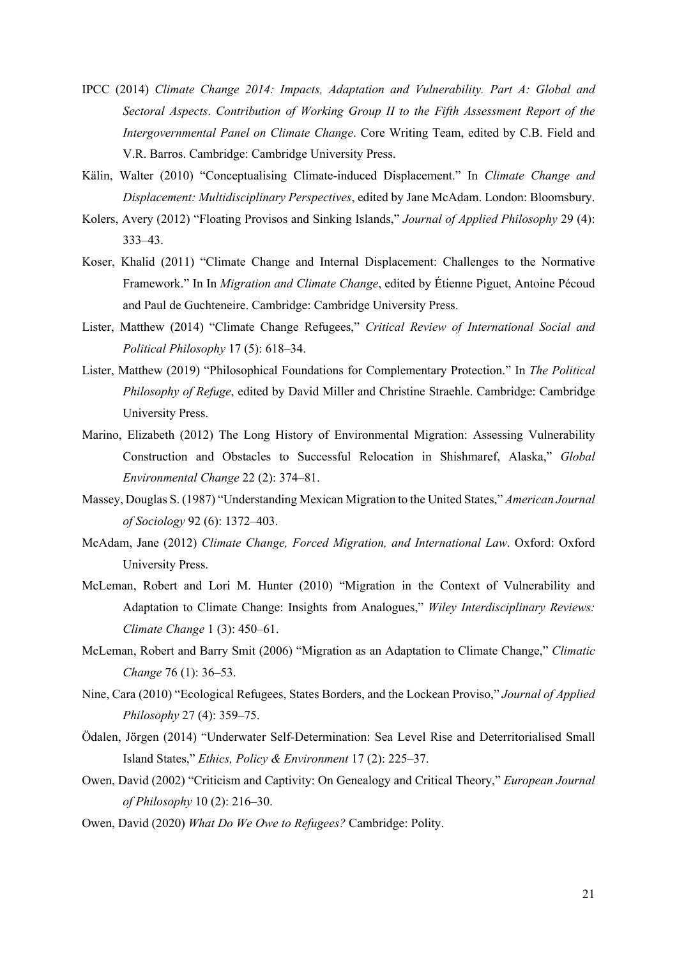- IPCC (2014) *Climate Change 2014: Impacts, Adaptation and Vulnerability. Part A: Global and Sectoral Aspects*. *Contribution of Working Group II to the Fifth Assessment Report of the Intergovernmental Panel on Climate Change*. Core Writing Team, edited by C.B. Field and V.R. Barros. Cambridge: Cambridge University Press.
- Kälin, Walter (2010) "Conceptualising Climate-induced Displacement." In *Climate Change and Displacement: Multidisciplinary Perspectives*, edited by Jane McAdam. London: Bloomsbury.
- Kolers, Avery (2012) "Floating Provisos and Sinking Islands," *Journal of Applied Philosophy* 29 (4): 333–43.
- Koser, Khalid (2011) "Climate Change and Internal Displacement: Challenges to the Normative Framework." In In *Migration and Climate Change*, edited by Étienne Piguet, Antoine Pécoud and Paul de Guchteneire. Cambridge: Cambridge University Press.
- Lister, Matthew (2014) "Climate Change Refugees," *Critical Review of International Social and Political Philosophy* 17 (5): 618–34.
- Lister, Matthew (2019) "Philosophical Foundations for Complementary Protection." In *The Political Philosophy of Refuge*, edited by David Miller and Christine Straehle. Cambridge: Cambridge University Press.
- Marino, Elizabeth (2012) The Long History of Environmental Migration: Assessing Vulnerability Construction and Obstacles to Successful Relocation in Shishmaref, Alaska," *Global Environmental Change* 22 (2): 374–81.
- Massey, Douglas S. (1987) "Understanding Mexican Migration to the United States," *American Journal of Sociology* 92 (6): 1372–403.
- McAdam, Jane (2012) *Climate Change, Forced Migration, and International Law*. Oxford: Oxford University Press.
- McLeman, Robert and Lori M. Hunter (2010) "Migration in the Context of Vulnerability and Adaptation to Climate Change: Insights from Analogues," *Wiley Interdisciplinary Reviews: Climate Change* 1 (3): 450–61.
- McLeman, Robert and Barry Smit (2006) "Migration as an Adaptation to Climate Change," *Climatic Change* 76 (1): 36–53.
- Nine, Cara (2010) "Ecological Refugees, States Borders, and the Lockean Proviso," *Journal of Applied Philosophy* 27 (4): 359–75.
- Ödalen, Jörgen (2014) "Underwater Self-Determination: Sea Level Rise and Deterritorialised Small Island States," *Ethics, Policy & Environment* 17 (2): 225–37.
- Owen, David (2002) "Criticism and Captivity: On Genealogy and Critical Theory," *European Journal of Philosophy* 10 (2): 216–30.
- Owen, David (2020) *What Do We Owe to Refugees?* Cambridge: Polity.